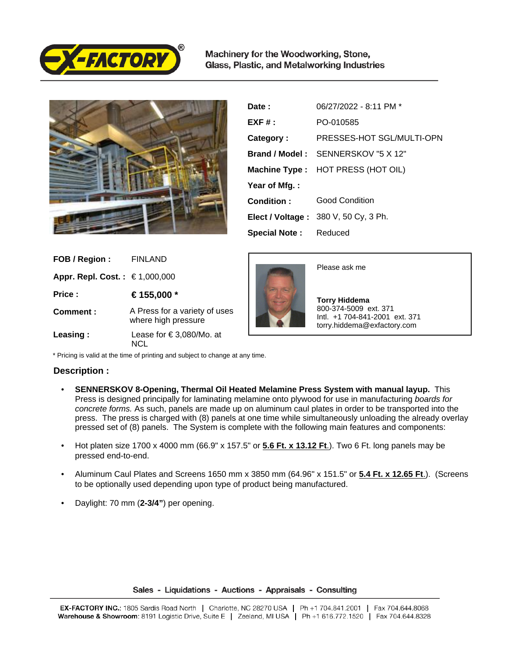

Machinery for the Woodworking, Stone, Glass, Plastic, and Metalworking Industries



| Date:                        | 06/27/2022 - 8:11 PM *                   |
|------------------------------|------------------------------------------|
| $EXF#$ :                     | PO-010585                                |
| Category:                    | PRESSES-HOT SGL/MULTI-OPN                |
|                              | Brand / Model: SENNERSKOV "5 X 12"       |
|                              | <b>Machine Type:</b> HOT PRESS (HOT OIL) |
| Year of Mfg.:                |                                          |
| Condition:                   | <b>Good Condition</b>                    |
|                              | Elect / Voltage: 380 V, 50 Cy, 3 Ph.     |
| <b>Special Note:</b> Reduced |                                          |

| FOB / Region :                 | FINLAND                                              |
|--------------------------------|------------------------------------------------------|
| Appr. Repl. Cost. : €1,000,000 |                                                      |
| Price:                         | €155,000 *                                           |
| Comment:                       | A Press for a variety of uses<br>where high pressure |
| Leasing:                       | Lease for $\in$ 3,080/Mo. at                         |



Please ask me

 **Torry Hiddema** 800-374-5009 ext. 371 Intl. +1 704-841-2001 ext. 371 torry.hiddema@exfactory.com

\* Pricing is valid at the time of printing and subject to change at any time.

## **Description :**

- **SENNERSKOV 8-Opening, Thermal Oil Heated Melamine Press System with manual layup.** This Press is designed principally for laminating melamine onto plywood for use in manufacturing boards for concrete forms. As such, panels are made up on aluminum caul plates in order to be transported into the press. The press is charged with (8) panels at one time while simultaneously unloading the already overlay pressed set of (8) panels. The System is complete with the following main features and components:
- Hot platen size 1700 x 4000 mm (66.9" x 157.5" or **5.6 Ft. x 13.12 Ft**.). Two 6 Ft. long panels may be pressed end-to-end.
- Aluminum Caul Plates and Screens 1650 mm x 3850 mm (64.96" x 151.5" or **5.4 Ft. x 12.65 Ft**.). (Screens to be optionally used depending upon type of product being manufactured.
- Daylight: 70 mm (**2-3/4"**) per opening.

## Sales - Liquidations - Auctions - Appraisals - Consulting